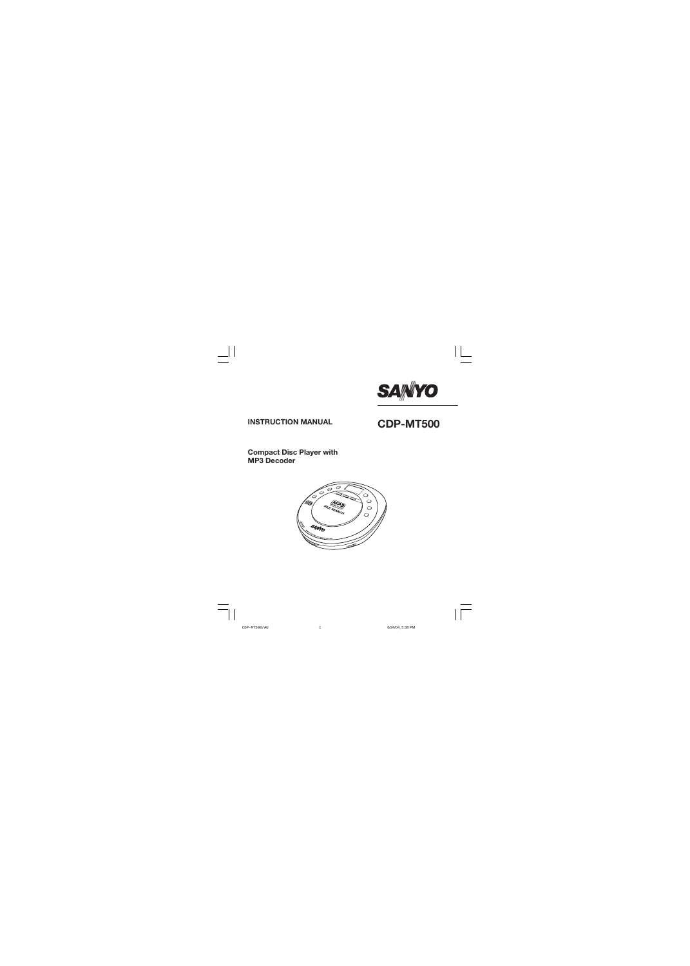

# **INSTRUCTION MANUAL CDP-MT500**

### **Compact Disc Player with MP3 Decoder**

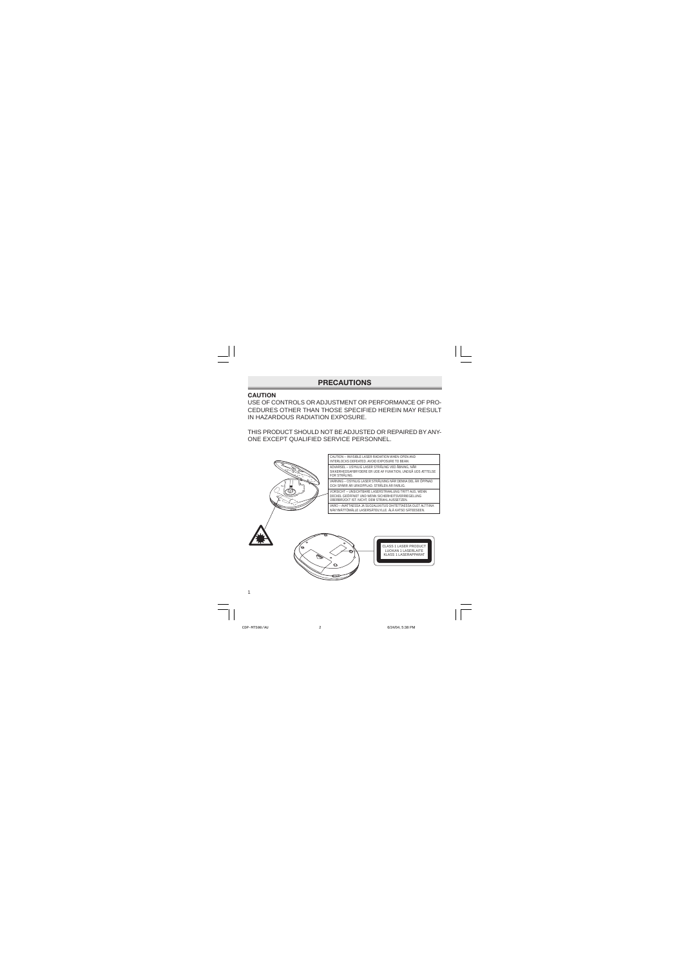### **PRECAUTIONS**

### **CAUTION**

USE OF CONTROLS OR ADJUSTMENT OR PERFORMANCE OF PRO-CEDURES OTHER THAN THOSE SPECIFIED HEREIN MAY RESULT IN HAZARDOUS RADIATION EXPOSURE.

THIS PRODUCT SHOULD NOT BE ADJUSTED OR REPAIRED BY ANY-ONE EXCEPT QUALIFIED SERVICE PERSONNEL.



CAUTION – INVISIBLE LASER RADIATION WHEN OPEN AND INTERLOCKS DEFEATED. AVOID EXPOSURE TO BEAM. ADVARSEL – USYNLIG LASER STRÅLING VED ÅBNING, NÅR SIKKERHEDSAFBRYDERE ER UDE AF FUNKTION, UNDGÅ UDS ÆTTELSE FOR STRÅLING. VARNING – OSYNLIG LASER STRÅLNING NÄR DENNA DEL ÄR ÖPPNAD OCH SPÄRR ÄR URKOPPLAD. STRÅLEN ÄR FARLIG. VORSICHT – UNSICHTBARE LASERSTRAHLUNG TRITT AUS, WENN DECKEL GEÖFFNET UND WENN SICHERHEITSVERRIEGELUNG ÜBERBRÜCKT IST. NICHT, DEM STRAHL AUSSETZEN. VARO – AVATTAESSA JA SUOJALUKITUS OHITETTAESSA OLET ALTTIINA NÄKYMÄTTÖMÄLLE LASERSÄTEILYLLE. ÄLÄ KATSO SÄTEESEEN.



CLASS 1 LASER PRODUCT LUOKAN 1 LASERLAITE KLASS 1 LASERAPPARAT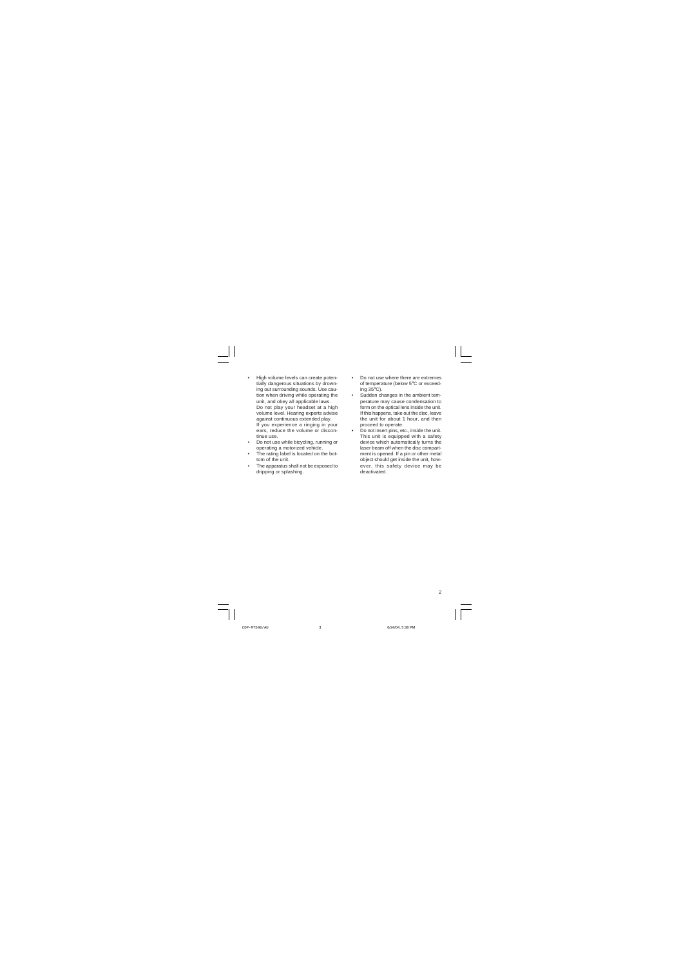- High volume levels can create potentially dangerous situations by drowning out surrounding sounds. Use caution when driving while operating the unit, and obey all applicable laws. Do not play your headset at a high volume level. Hearing experts advise against continuous extended play. If you experience a ringing in your ears, reduce the volume or discontinue use.
- Do not use while bicycling, running or operating a motorized vehicle.
- The rating label is located on the bottom of the unit.
- The apparatus shall not be exposed to dripping or splashing.
- Do not use where there are extremes of temperature (below 5°C or exceeding 35°C).
- Sudden changes in the ambient temperature may cause condensation to form on the optical lens inside the unit. If this happens, take out the disc, leave the unit for about 1 hour, and then proceed to operate.
- Do not insert pins, etc., inside the unit. This unit is equipped with a safety device which automatically turns the laser beam off when the disc compartment is opened. If a pin or other metal object should get inside the unit, however, this safety device may be deactivated.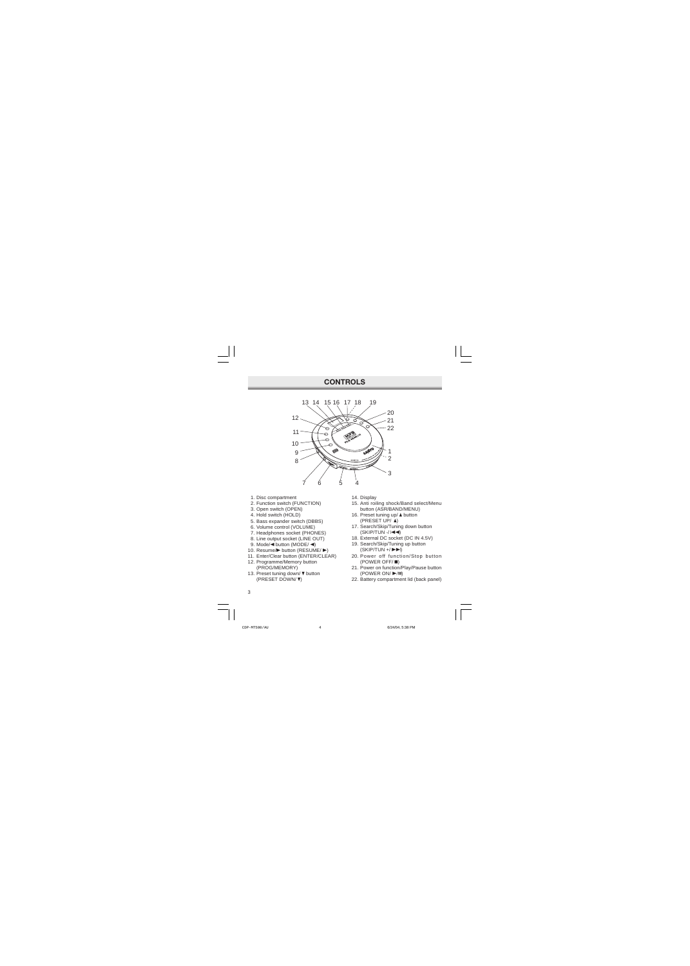### **CONTROLS**



- 1. Disc compartment
- 2. Function switch (FUNCTION)
- 3. Open switch (OPEN)
- 4. Hold switch (HOLD)
- 5. Bass expander switch (DBBS)
- 6. Volume control (VOLUME)
- 7. Headphones socket (PHONES)
- 8. Line output socket (LINE OUT)
- 9. Mode/ $\blacktriangleleft$  button (MODE/ $\blacktriangleleft$ )
- 10. Resume/ $\blacktriangleright$  button (RESUME/ $\blacktriangleright$ )
- 11. Enter/Clear button (ENTER/CLEAR)
- 12. Programme/Memory button (PROG/MEMORY)
- 13. Preset tuning down/ $\nabla$  button (PRESET DOWN/ p)
- 14. Display
- 15. Anti roiling shock/Band select/Menu button (ASR/BAND/MENU)
- 16. Preset tuning up/ $\triangle$  button (PRESET UP/ $\triangle$ )
- 17. Search/Skip/Tuning down button  $(SKIP/TUN - / | \blacktriangleleft \blacktriangleleft)$
- 18. External DC socket (DC IN 4.5V)
- 19. Search/Skip/Tuning up button  $(SKIP/TUN + / P)$
- 20. Power off function/Stop button  $(POWER OFF / \blacksquare)$
- 21. Power on function/Play/Pause button (POWER ON/ $\blacktriangleright$ /II)
- 22. Battery compartment lid (back panel)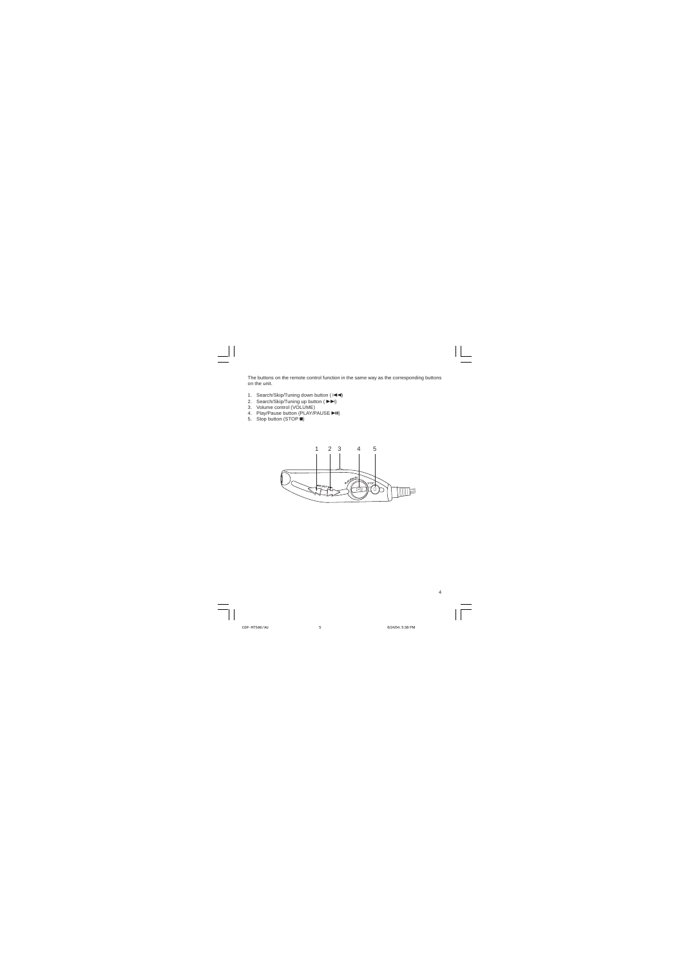The buttons on the remote control function in the same way as the corresponding buttons on the unit.

- 1. Search/Skip/Tuning down button ( $\blacktriangleleft$ )
- 2. Search/Skip/Tuning up button  $(\triangleright\bigtriangleright)$
- 3. Volume control (VOLUME)
- 4. Play/Pause button (PLAY/PAUSE >II)
- 5. Stop button (STOP  $\blacksquare$ )

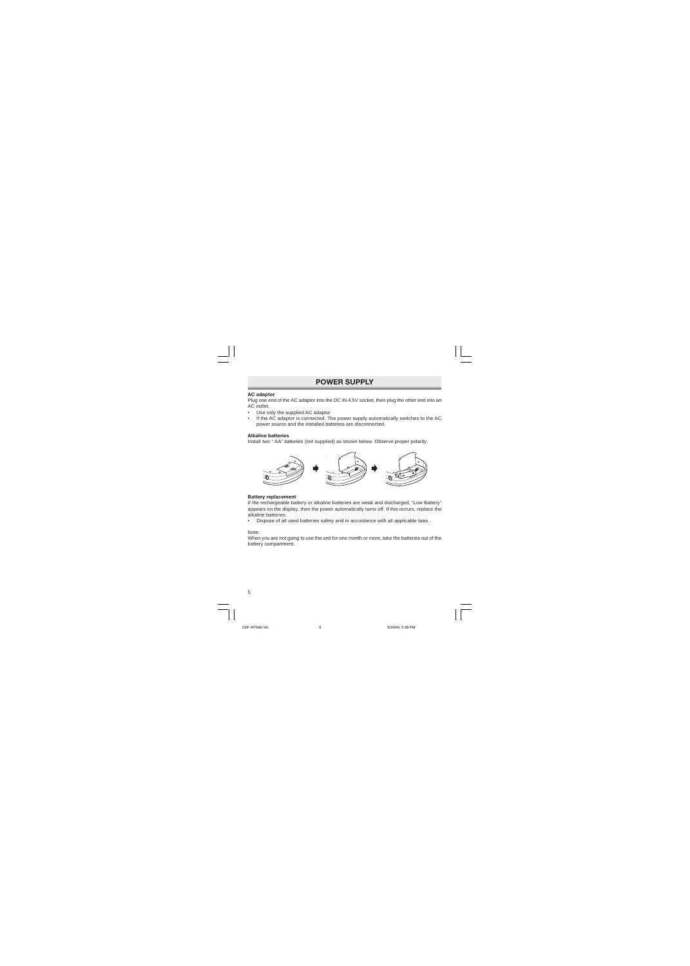### **POWER SUPPLY**

#### **AC adaptor**

Plug one end of the AC adaptor into the DC IN 4.5V socket, then plug the other end into an AC outlet.

- Use only the supplied AC adaptor
- If the AC adaptor is connected. The power supply automatically switches to the AC power source and the installed batteries are disconnected.

#### **Alkaline batteries**

Install two " AA" batteries (not supplied) as shown below. Observe proper polarity.



#### **Battery replacement**

If the rechargeable battery or alkaline batteries are weak and discharged, "Low Battery" appears on the display, then the power automatically turns off. If this occurs, replace the alkaline batteries.

• Dispose of all used batteries safety and in accordance with all applicable laws.

Note:

When you are not going to use the unit for one month or more, take the batteries out of the battery compartment.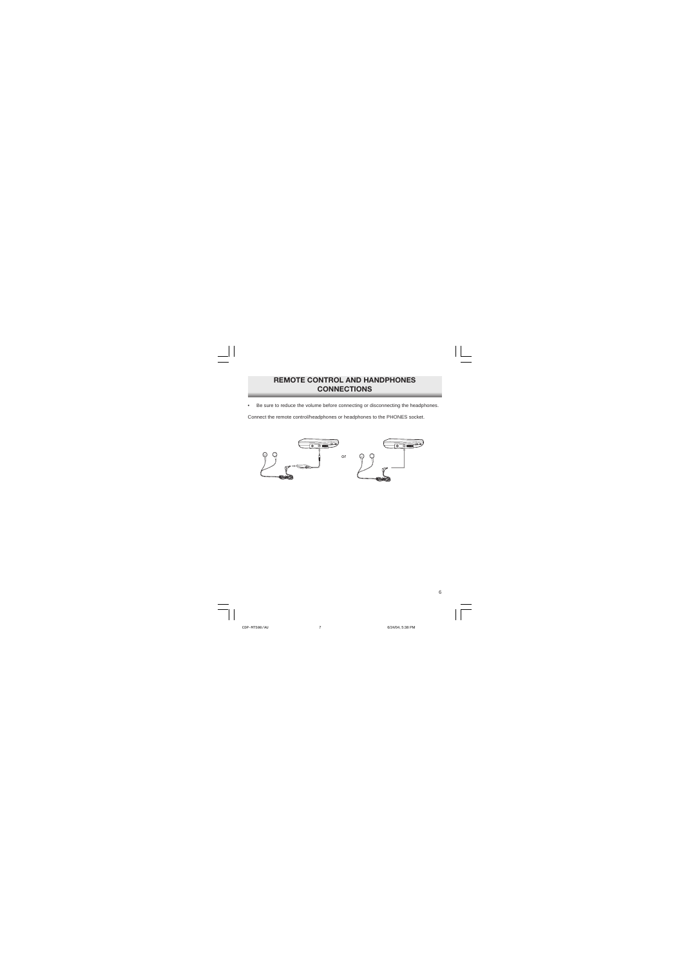### **REMOTE CONTROL AND HANDPHONES CONNECTIONS**

Be sure to reduce the volume before connecting or disconnecting the headphones.

Connect the remote control/headphones or headphones to the PHONES socket.

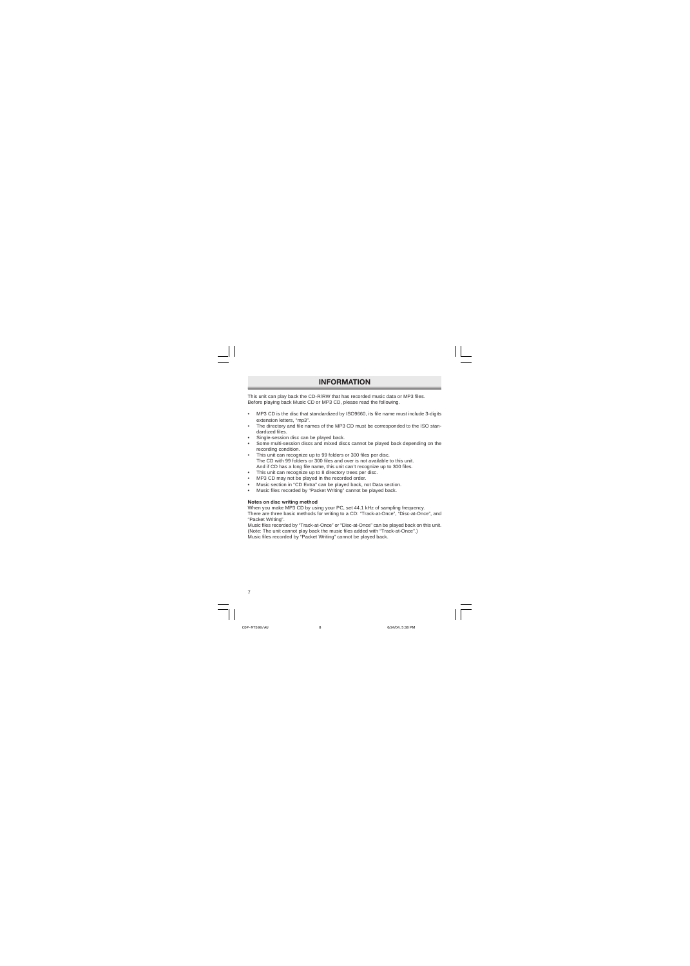### **INFORMATION**

This unit can play back the CD-R/RW that has recorded music data or MP3 files. Before playing back Music CD or MP3 CD, please read the following.

- MP3 CD is the disc that standardized by ISO9660, its file name must include 3-digits extension letters, "mp3".
- The directory and file names of the MP3 CD must be corresponded to the ISO standardized files.
- Single-session disc can be played back.
- Some multi-session discs and mixed discs cannot be played back depending on the recording condition.
- This unit can recognize up to 99 folders or 300 files per disc. The CD with 99 folders or 300 files and over is not available to this unit. And if CD has a long file name, this unit can't recognize up to 300 files.
- This unit can recognize up to 8 directory trees per disc.
- MP3 CD may not be played in the recorded order.
- Music section in "CD Extra" can be played back, not Data section.
- Music files recorded by "Packet Writing" cannot be played back.

#### **Notes on disc writing method**

When you make MP3 CD by using your PC, set 44.1 kHz of sampling frequency. There are three basic methods for writing to a CD: "Track-at-Once", "Disc-at-Once", and "Packet Writing".

Music files recorded by "Track-at-Once" or "Disc-at-Once" can be played back on this unit. (Note: The unit cannot play back the music files added with "Track-at-Once".) Music files recorded by "Packet Writing" cannot be played back.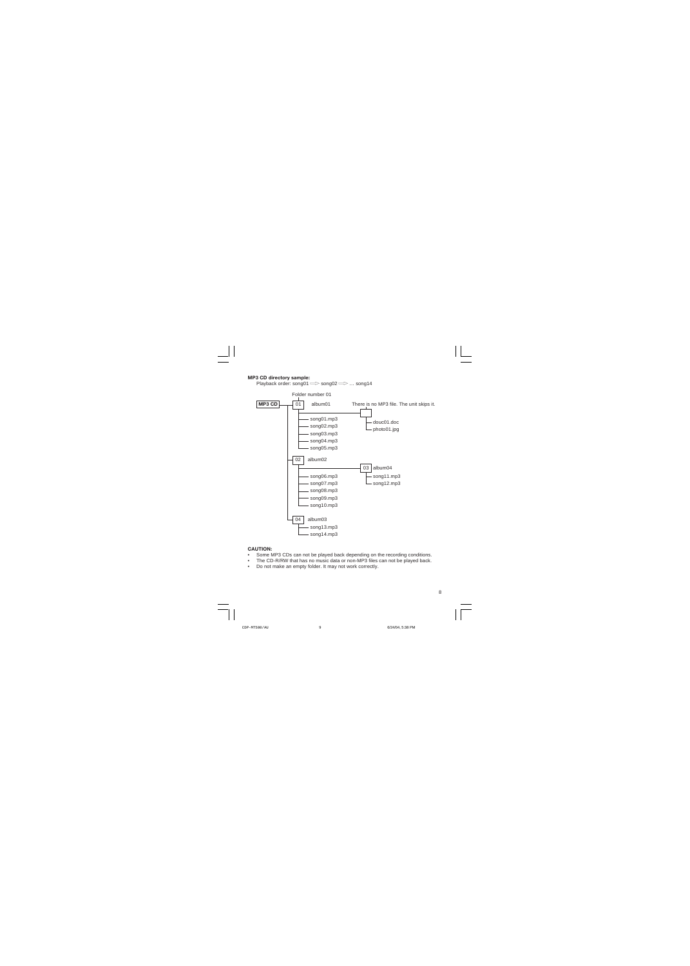#### **MP3 CD directory sample:**

Playback order: song01  $\implies$  song02  $\implies$  ... song14



#### **CAUTION:**

- Some MP3 CDs can not be played back depending on the recording conditions.
- The CD-R/RW that has no music data or non-MP3 files can not be played back.
- Do not make an empty folder. It may not work correctly.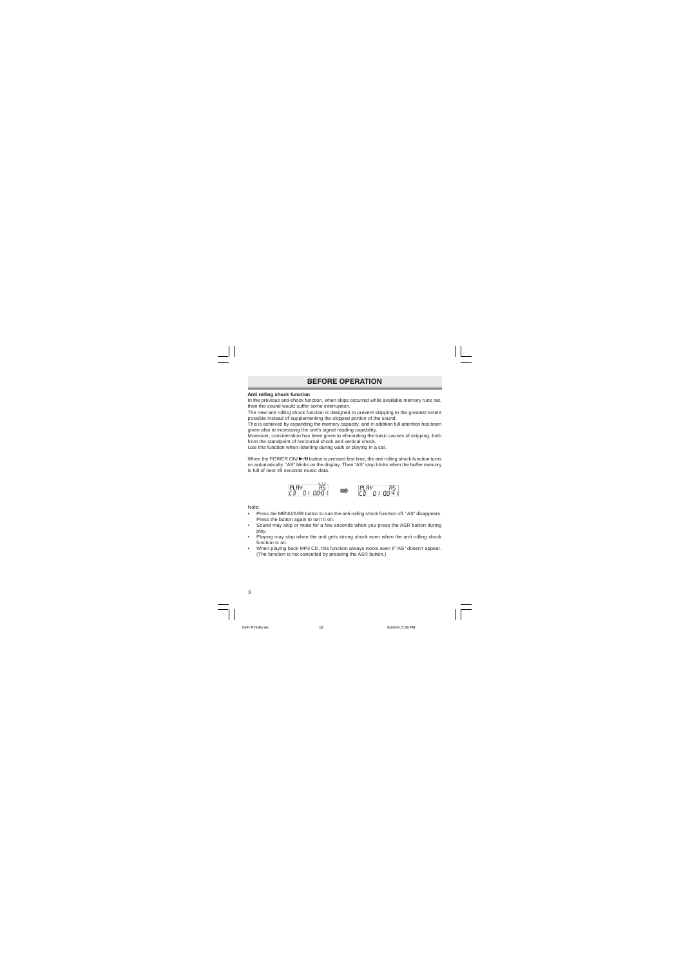# **BEFORE OPERATION**

#### **Anti rolling shock function**

In the previous anti-shock function, when skips occurred while available memory runs out, then the sound would suffer some interruption.

The new anti rolling shock function is designed to prevent skipping to the greatest extent possible instead of supplementing the skipped portion of the sound.

This is achieved by expanding the memory capacity, and in addition full attention has been given also to increasing the unit's signal reading capability.

Moreover, consideration has been given to eliminating the basic causes of skipping, both from the standpoint of horizontal shock and vertical shock.

Use this function when listening during walk or playing in a car.

When the POWER ON/ $\blacktriangleright$ /II button is pressed first time, the anti rolling shock function turns on automatically. "AS" blinks on the display. Then "AS" stop blinks when the buffer memory is full of next 45 seconds music data.



Note:

- Press the MENU/ASR button to turn the anti rolling shock function off. "AS" disappears. Press the button again to turn it on.
- Sound may skip or mute for a few seconds when you press the ASR button during play.
- Playing may stop when the unit gets strong shock even when the anti rolling shock function is on.
- When playing back MP3 CD, this function always works even if "AS" doesn't appear. (The function is not cancelled by pressing the ASR button.)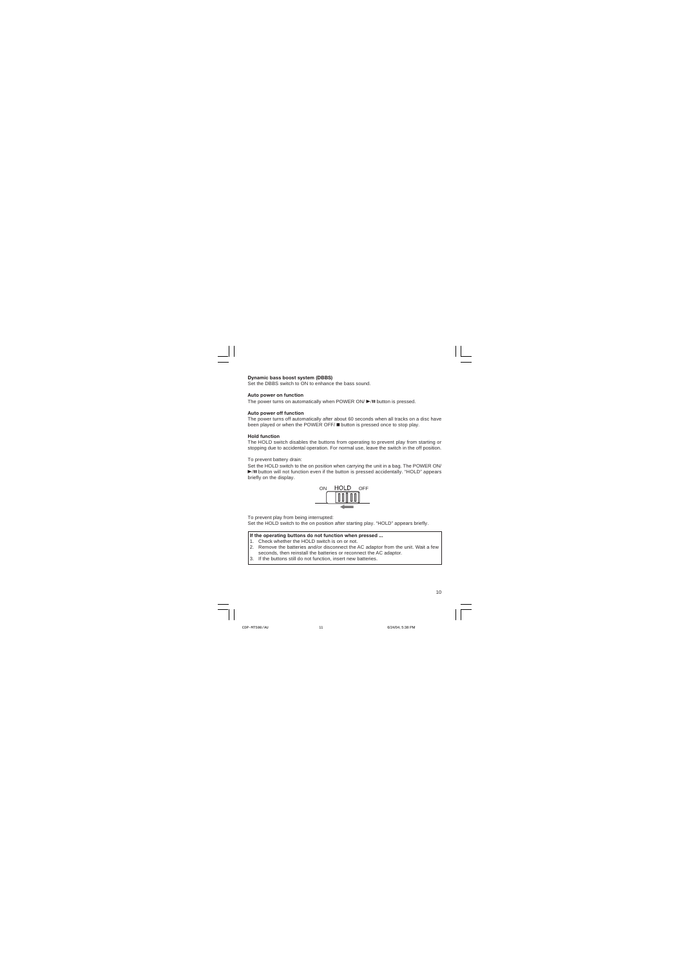#### **Dynamic bass boost system (DBBS)**

Set the DBBS switch to ON to enhance the bass sound.

#### **Auto power on function**

The power turns on automatically when POWER ON $/$   $\blacktriangleright$ /II button is pressed.

#### **Auto power off function**

The power turns off automatically after about 60 seconds when all tracks on a disc have been played or when the POWER OFF/ **n** button is pressed once to stop play.

#### **Hold function**

The HOLD switch disables the buttons from operating to prevent play from starting or stopping due to accidental operation. For normal use, leave the switch in the off position.

To prevent battery drain:

Set the HOLD switch to the on position when carrying the unit in a bag. The POWER ON/  $\blacktriangleright$  II button will not function even if the button is pressed accidentally. "HOLD" appears briefly on the display.



To prevent play from being interrupted:

Set the HOLD switch to the on position after starting play. "HOLD" appears briefly.

#### **If the operating buttons do not function when pressed ...**

- 1. Check whether the HOLD switch is on or not.
- 2. Remove the batteries and/or disconnect the AC adaptor from the unit. Wait a few seconds, then reinstall the batteries or reconnect the AC adaptor.
- 3. If the buttons still do not function, insert new batteries.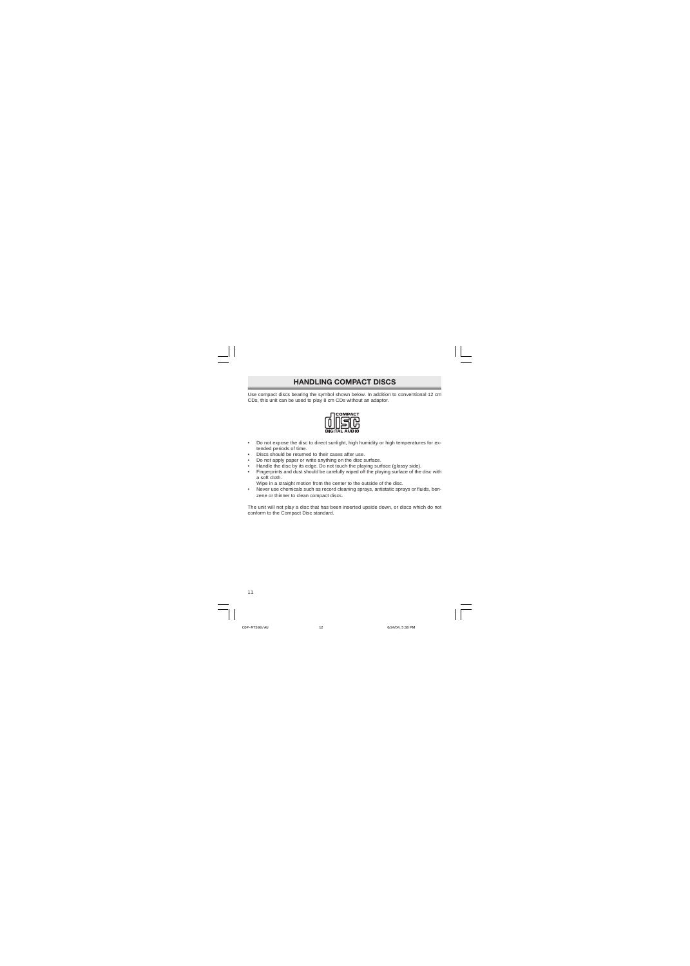# **HANDLING COMPACT DISCS**

Use compact discs bearing the symbol shown below. In addition to conventional 12 cm CDs, this unit can be used to play 8 cm CDs without an adaptor.



- Do not expose the disc to direct sunlight, high humidity or high temperatures for extended periods of time.
- Discs should be returned to their cases after use.
- Do not apply paper or write anything on the disc surface.
- Handle the disc by its edge. Do not touch the playing surface (glossy side).
- Fingerprints and dust should be carefully wiped off the playing surface of the disc with a soft cloth.

Wipe in a straight motion from the center to the outside of the disc.

• Never use chemicals such as record cleaning sprays, antistatic sprays or fluids, benzene or thinner to clean compact discs.

The unit will not play a disc that has been inserted upside down, or discs which do not conform to the Compact Disc standard.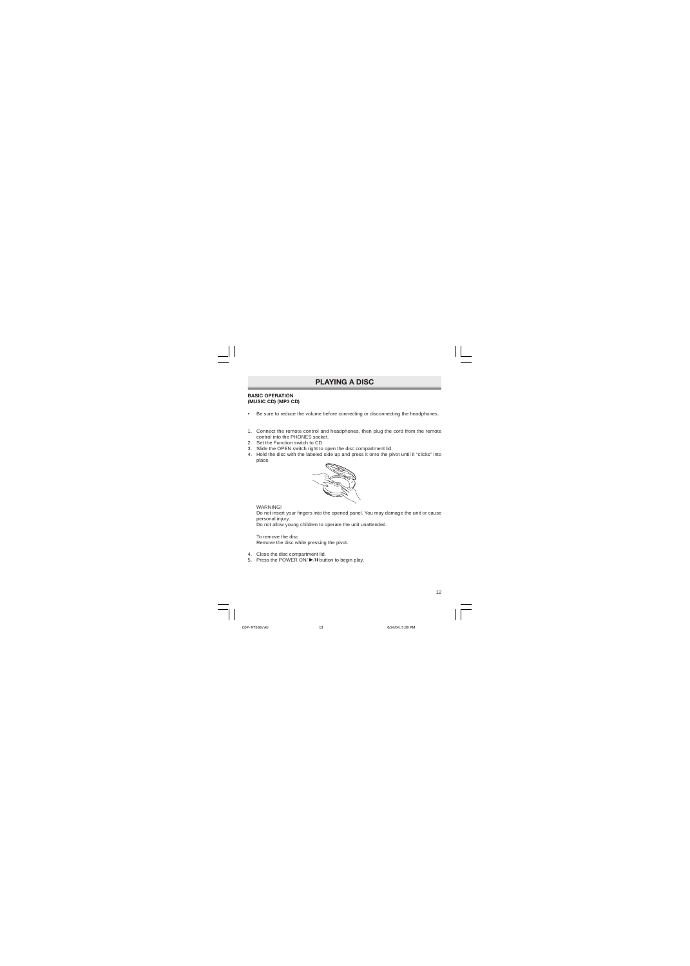# **PLAYING A DISC**

#### **BASIC OPERATION (MUSIC CD) (MP3 CD)**

- Be sure to reduce the volume before connecting or disconnecting the headphones.
- 1. Connect the remote control and headphones, then plug the cord from the remote control into the PHONES socket.
- 2. Set the Function switch to CD.
- 3. Slide the OPEN switch right to open the disc compartment lid.
- 4. Hold the disc with the labeled side up and press it onto the pivot until it "clicks" into place.



**WARNING!** 

Do not insert your fingers into the opened panel. You may damage the unit or cause personal injury.

Do not allow young children to operate the unit unattended.

To remove the disc Remove the disc while pressing the pivot.

- 4. Close the disc compartment lid.
- 5. Press the POWER ON/ $\blacktriangleright$ /II button to begin play.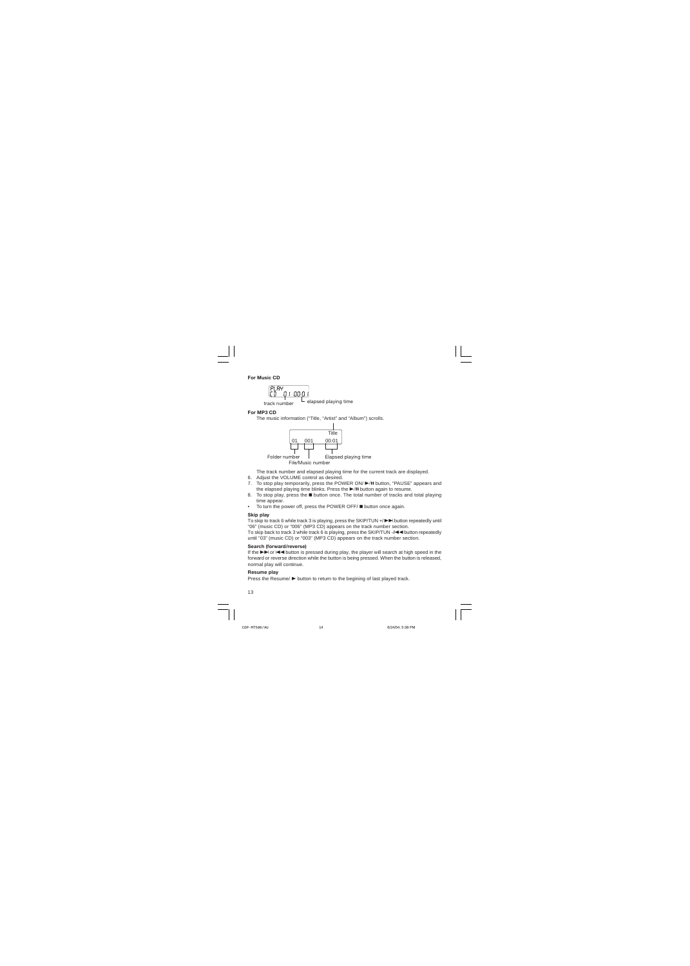#### **For Music CD**

PI RY track number  $\Box$  elapsed playing time

#### **For MP3 CD**

The music information ("Title, "Artist" and "Album") scrolls.



The track number and elapsed playing time for the current track are displayed.

- 6. Adjust the VOLUME control as desired.
- 7. To stop play temporarily, press the POWER ON/ DI button, "PAUSE" appears and the elapsed playing time blinks. Press the  $\blacktriangleright$ /II button again to resume.
- 8. To stop play, press the **n** button once. The total number of tracks and total playing time appear.
- $\bullet$  To turn the power off, press the POWER OFF/ $\blacksquare$  button once again.

#### **Skip play**

To skip to track 6 while track 3 is playing, press the SKIP/TUN  $+$   $\blacktriangleright\blacktriangleright$  button repeatedly until "06" (music CD) or "006" (MP3 CD) appears on the track number section.

To skip back to track 3 while track 6 is playing, press the SKIP/TUN  $-A \blacktriangleleft$  button repeatedly until "03" (music CD) or "003" (MP3 CD) appears on the track number section.

#### **Search (forward/reverse)**

If the  $\blacktriangleright$  or  $\blacktriangleright$  or  $\blacktriangleright$  button is pressed during play, the player will search at high speed in the forward or reverse direction while the button is being pressed. When the button is released, normal play will continue.

#### **Resume play**

Press the Resume/ $\triangleright$  button to return to the begining of last played track.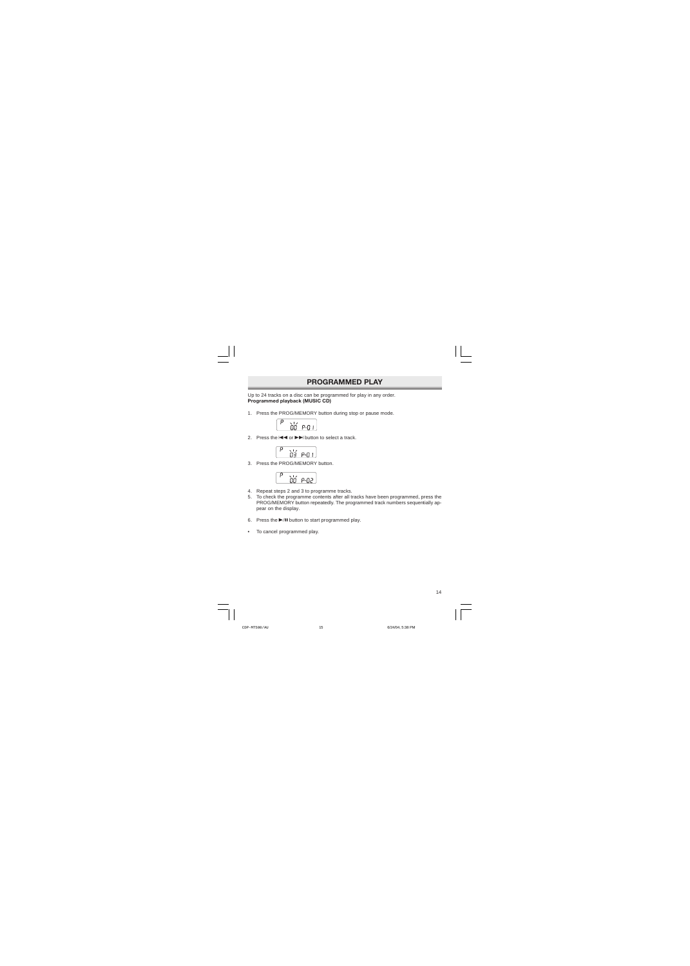### **PROGRAMMED PLAY**

Up to 24 tracks on a disc can be programmed for play in any order. **Programmed playback (MUSIC CD)**

1. Press the PROG/MEMORY button during stop or pause mode.



2. Press the  $\blacktriangleleft \blacktriangleleft$  or  $\blacktriangleright \blacktriangleright$  button to select a track.

3. Press the PROG/MEMORY button.



- 4. Repeat steps 2 and 3 to programme tracks.
- 5. To check the programme contents after all tracks have been programmed, press the PROG/MEMORY button repeatedly. The programmed track numbers sequentially appear on the display.
- 6. Press the  $\blacktriangleright$ /II button to start programmed play.
- To cancel programmed play.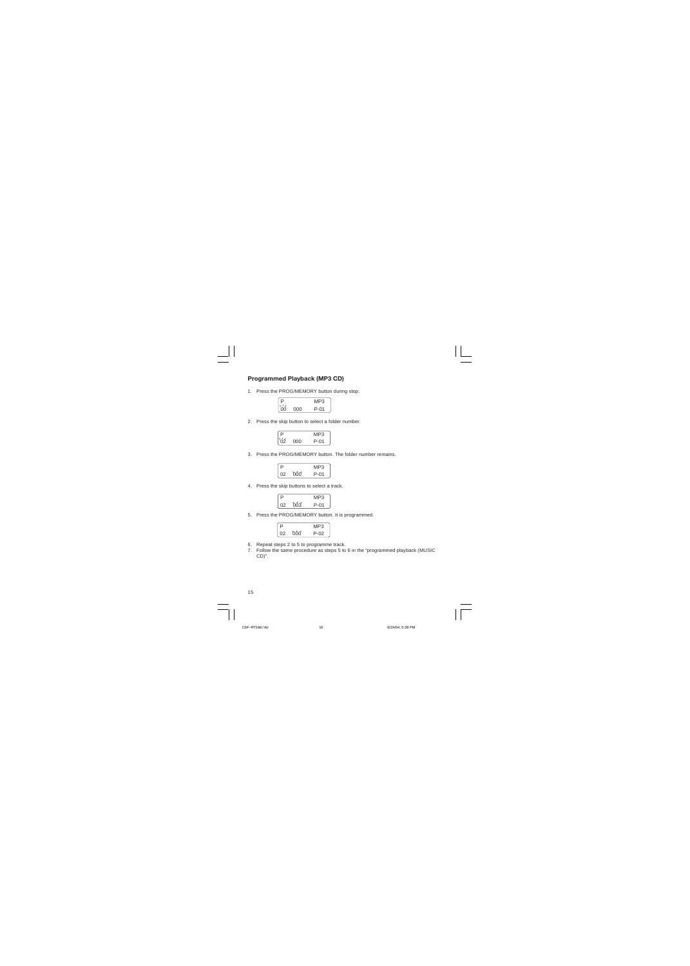### **Programmed Playback (MP3 CD)**

1. Press the PROG/MEMORY button during stop.

| $\overline{\phantom{a}}$<br>∍  |     | MP3  |
|--------------------------------|-----|------|
| $\overline{\phantom{a}}$<br>nn | റററ | P-01 |

2. Press the skip button to select a folder number.

|      | -3<br> |  |
|------|--------|--|
| ו זו | ٦1.    |  |

3. Press the PROG/MEMORY button. The folder number remains.

|      |      | بر ب             |
|------|------|------------------|
| ر ۱۰ | 'nnn | $\bigcap$ 1<br>D |

4. Press the skip buttons to select a track.



5. Press the PROG/MEMORY button. It is programmed.



- 6. Repeat steps 2 to 5 to programme track.
- 7. Follow the same procedure as steps 5 to 6 in the "programmed playback (MUSIC CD)".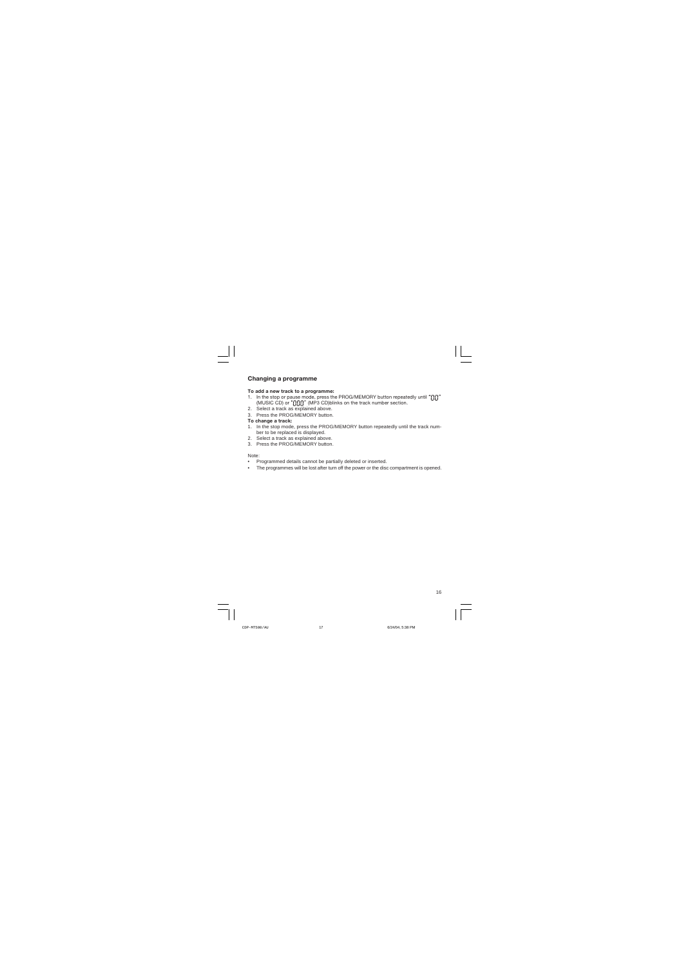### **Changing a programme**

#### **To add a new track to a programme:**

- 1. In the stop or pause mode, press the PROG/MEMORY button repeatedly until "nn" (MUSIC CD) or "[In]]" (MP3 CD)blinks on the track number section.
- 2. Select a track as explained above.
- 3. Press the PROG/MEMORY button.

#### **To change a track:**

- 1. In the stop mode, press the PROG/MEMORY button repeatedly until the track number to be replaced is displayed.
- 2. Select a track as explained above.
- 3. Press the PROG/MEMORY button.

#### Note:

- Programmed details cannot be partially deleted or inserted.
- The programmes will be lost after turn off the power or the disc compartment is opened.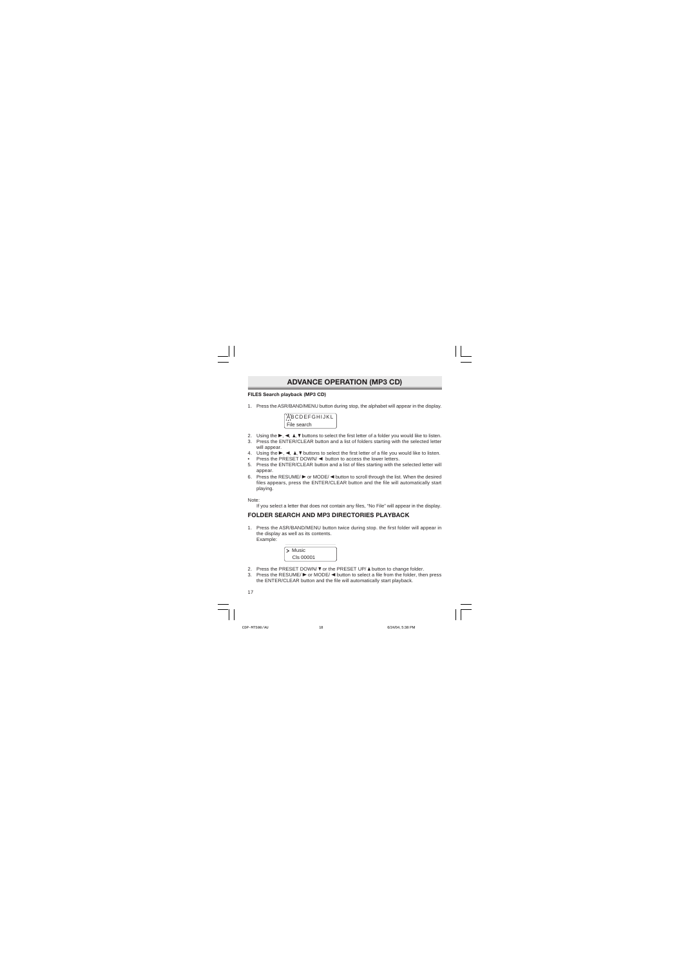# **ADVANCE OPERATION (MP3 CD)**

### **FILES Search playback (MP3 CD)**

1. Press the ASR/BAND/MENU button during stop, the alphabet will appear in the display.



- 2. Using the  $\blacktriangleright$ ,  $\blacktriangleleft$ ,  $\blacktriangleleft$ ,  $\blacktriangleright$  buttons to select the first letter of a folder you would like to listen.
- 3. Press the ENTER/CLEAR button and a list of folders starting with the selected letter will appear.
- 4. Using the  $\blacktriangleright$ ,  $\blacktriangleleft$ ,  $\blacktriangleright$  buttons to select the first letter of a file you would like to listen.
- Press the PRESET DOWN/ $\blacktriangleleft$  button to access the lower letters.
- 5. Press the ENTER/CLEAR button and a list of files starting with the selected letter will appear.
- 6. Press the RESUME/ $\triangleright$  or MODE/  $\triangleleft$  button to scroll through the list. When the desired files appears, press the ENTER/CLEAR button and the file will automatically start playing.

Note:

If you select a letter that does not contain any files, "No File" will appear in the display.

### **FOLDER SEARCH AND MP3 DIRECTORIES PLAYBACK**

1. Press the ASR/BAND/MENU button twice during stop. the first folder will appear in the display as well as its contents. Example:



- 2. Press the PRESET DOWN/  $\nabla$  or the PRESET UP/ $\blacktriangle$  button to change folder.
- 3. Press the RESUME/ $\blacktriangleright$  or MODE/ $\blacktriangleleft$  button to select a file from the folder, then press the ENTER/CLEAR button and the file will automatically start playback.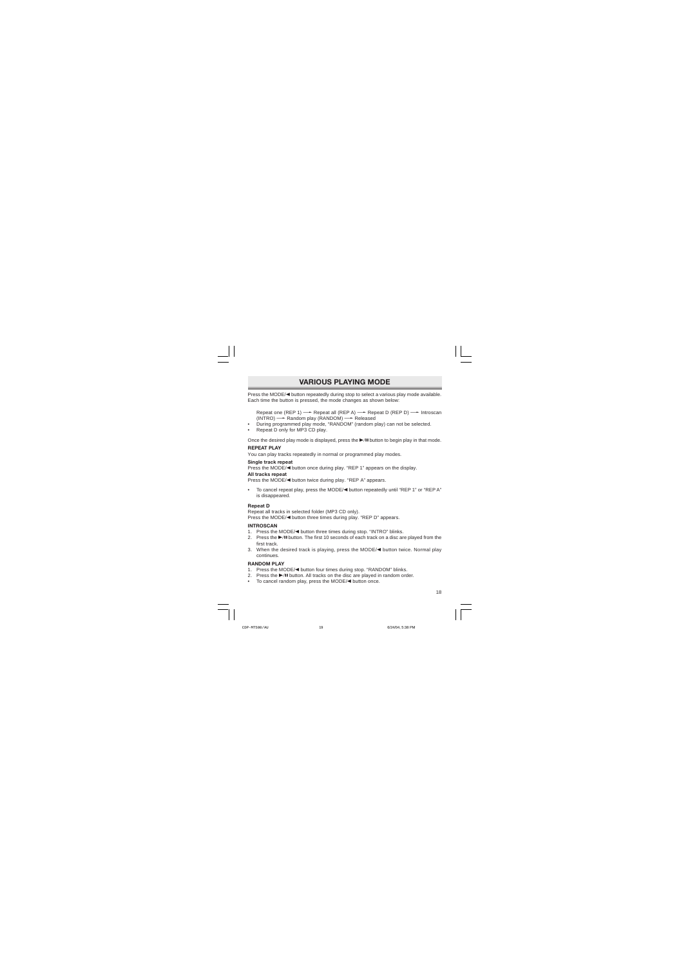# **VARIOUS PLAYING MODE**

Press the MODE/<br />
button repeatedly during stop to select a various play mode available. Each time the button is pressed, the mode changes as shown below:

Repeat one (REP 1)  $\rightarrow$  Repeat all (REP A)  $\rightarrow$  Repeat D (REP D)  $\rightarrow$  Introscan  $(INTRO) \longrightarrow$  Random play (RANDOM)  $\longrightarrow$  Released

- During programmed play mode, "RANDOM" (random play) can not be selected.
- Repeat D only for MP3 CD play.

Once the desired play mode is displayed, press the  $\blacktriangleright$  II button to begin play in that mode.

#### **REPEAT PLAY**

You can play tracks repeatedly in normal or programmed play modes.

#### **Single track repeat**

Press the MODE/< button once during play. "REP 1" appears on the display.

#### **All tracks repeat**

Press the MODE/< button twice during play. "REP A" appears.

• To cancel repeat play, press the MODE/< button repeatedly until "REP 1" or "REP A" is disappeared.

#### **Repeat D**

Repeat all tracks in selected folder (MP3 CD only). Press the MODE/< button three times during play. "REP D" appears.

#### **INTROSCAN**

- 1. Press the MODE/< button three times during stop. "INTRO" blinks.
- 2. Press the  $\blacktriangleright$ /II button. The first 10 seconds of each track on a disc are played from the first track.
- 3. When the desired track is playing, press the  $\text{MODE}/\blacktriangleleft$  button twice. Normal play continues.

#### **RANDOM PLAY**

- 1. Press the MODE/<br />
button four times during stop. "RANDOM" blinks.
- 2. Press the  $\blacktriangleright$ /II button. All tracks on the disc are played in random order.
- To cancel random play, press the MODE/<br/>thousing once.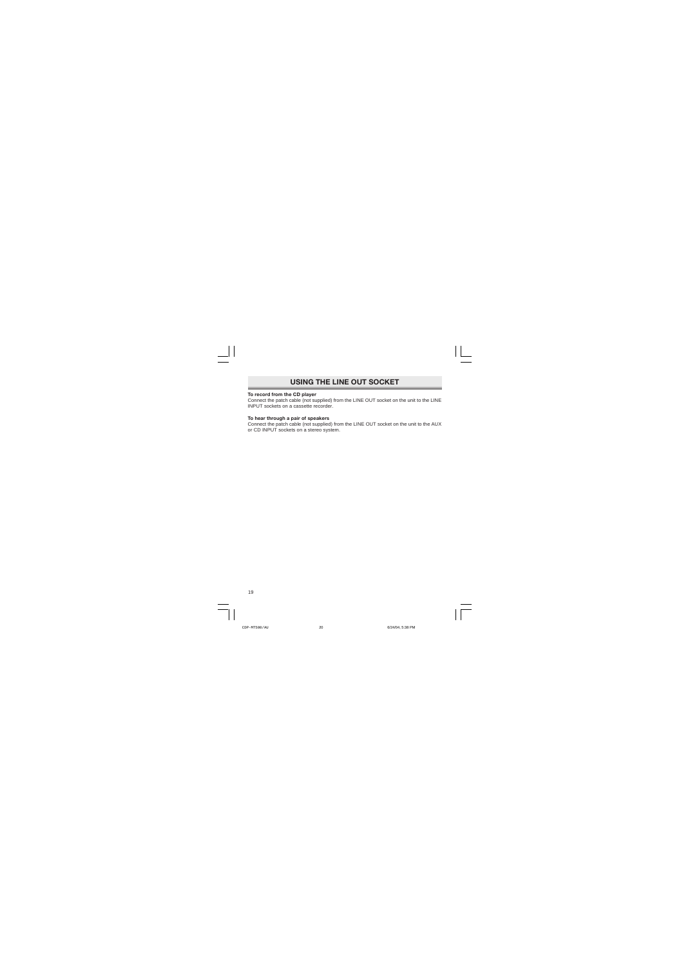# **USING THE LINE OUT SOCKET**

#### **To record from the CD player**

Connect the patch cable (not supplied) from the LINE OUT socket on the unit to the LINE INPUT sockets on a cassette recorder.

#### **To hear through a pair of speakers**

Connect the patch cable (not supplied) from the LINE OUT socket on the unit to the AUX or CD INPUT sockets on a stereo system.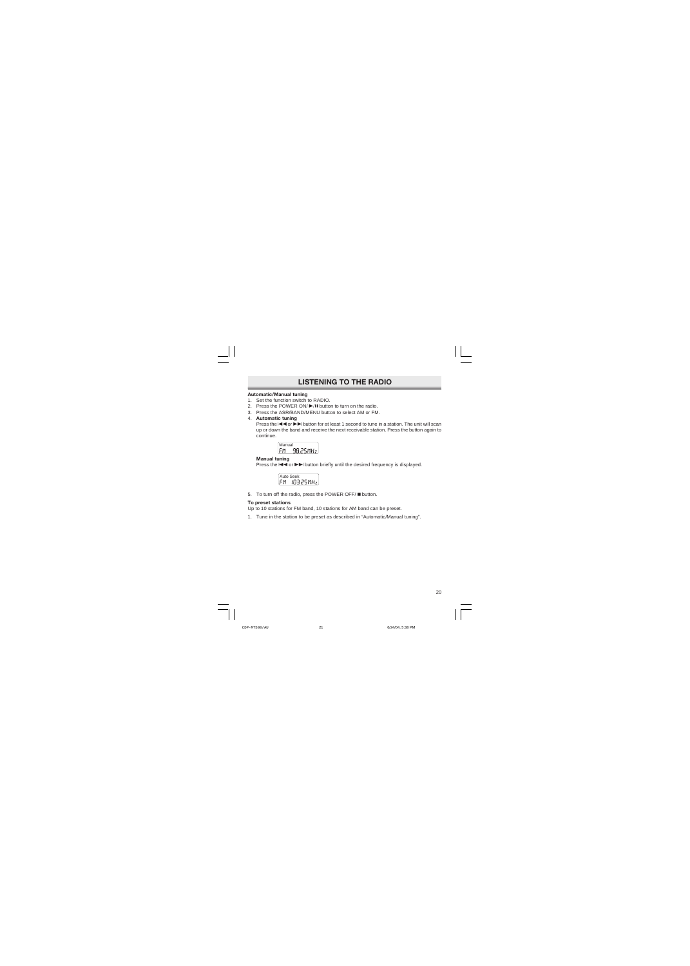# **LISTENING TO THE RADIO**

#### **Automatic/Manual tuning**

- 1. Set the function switch to RADIO.
- 2. Press the POWER ON/ >/II button to turn on the radio.
- 3. Press the ASR/BAND/MENU button to select AM or FM.
- 4. **Automatic tuning**

Press the  $\blacktriangleleft$  or  $\blacktriangleright$  button for at least 1 second to tune in a station. The unit will scan up or down the band and receive the next receivable station. Press the button again to continue.



#### **Manual tuning**

Press the  $\blacktriangleleft$  or  $\blacktriangleright$  button briefly until the desired frequency is displayed.

Auto Seek<br>FM 10325MHz

5. To turn off the radio, press the POWER OFF/ **D** button.

#### **To preset stations**

Up to 10 stations for FM band, 10 stations for AM band can be preset.

1. Tune in the station to be preset as described in "Automatic/Manual tuning".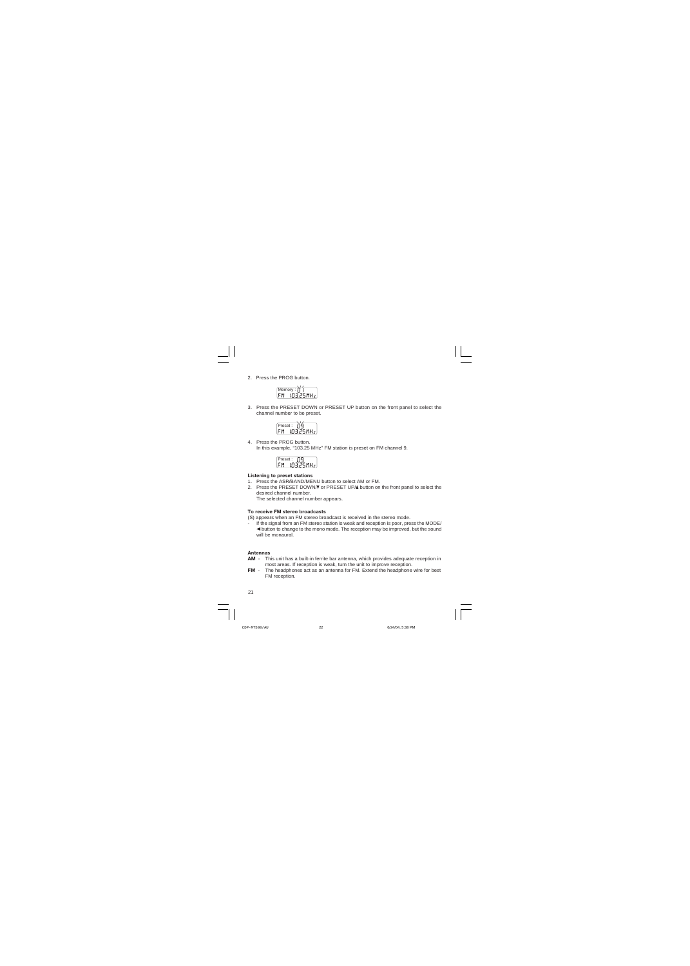2. Press the PROG button.

Memory : [] |<br>FM = IN325MHz

3. Press the PRESET DOWN or PRESET UP button on the front panel to select the channel number to be preset.



4. Press the PROG button. In this example, "103.25 MHz" FM station is preset on FM channel 9.



#### **Listening to preset stations**

- 1. Press the ASR/BAND/MENU button to select AM or FM.
- 2. Press the PRESET DOWN/ $\nabla$  or PRESET UP/ $\blacktriangle$  button on the front panel to select the desired channel number.

The selected channel number appears.

#### **To receive FM stereo broadcasts**

- (S) appears when an FM stereo broadcast is received in the stereo mode.
- If the signal from an FM stereo station is weak and reception is poor, press the MODE/  $\blacktriangleleft$  button to change to the mono mode. The reception may be improved, but the sound will be monaural.

#### **Antennas**

- **AM** This unit has a built-in ferrite bar antenna, which provides adequate reception in most areas. If reception is weak, turn the unit to improve reception.
- **FM**  The headphones act as an antenna for FM. Extend the headphone wire for best FM reception.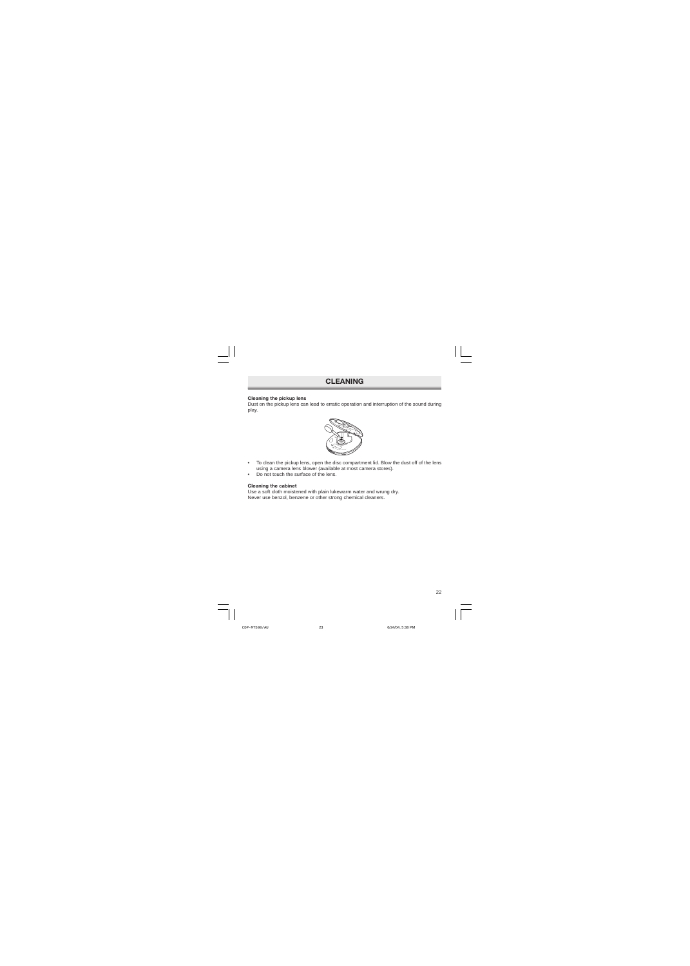### **CLEANING**

#### **Cleaning the pickup lens**

Dust on the pickup lens can lead to erratic operation and interruption of the sound during play.



- To clean the pickup lens, open the disc compartment lid. Blow the dust off of the lens using a camera lens blower (available at most camera stores).
- Do not touch the surface of the lens.

#### **Cleaning the cabinet**

Use a soft cloth moistened with plain lukewarm water and wrung dry. Never use benzol, benzene or other strong chemical cleaners.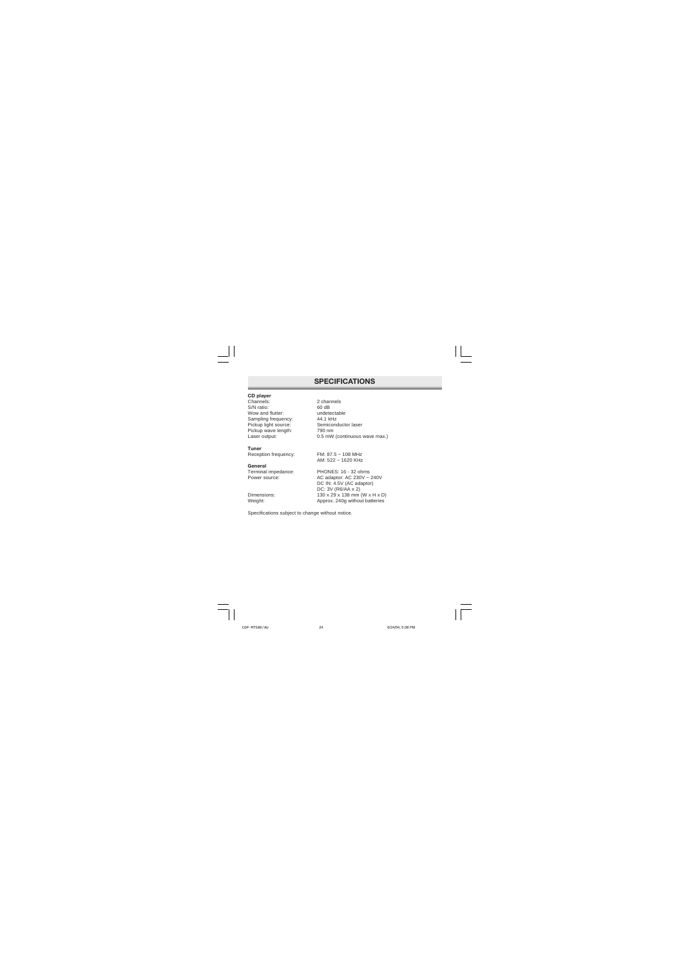### **SPECIFICATIONS**

#### **CD player**

| Channels:            |
|----------------------|
| S/N ratio:           |
| Wow and flutter:     |
| Sampling frequency:  |
| Pickup light source: |
| Pickup wave length:  |
| Laser output:        |

#### **Tuner**

#### **General**

Channels: 2 channels  $60$  dB undetectable 44.1 kHz Semiconductor laser 790 nm 0.5 mW (continuous wave max.)

Reception frequency: FM: 87.5 ~ 108 MHz AM: 522 ~ 1620 KHz

Terminal impedance: PHONES: 16 - 32 ohms Power source: AC adaptor: AC 230V ~ 240V DC IN: 4.5V (AC adaptor) DC: 3V (R6/AA x 2) Dimensions: 130 x 29 x 138 mm (W x H x D)<br>Weight: 130 x 240 deprox. 240 deproduced by Meight: Approx. 240g without batteries

Specifications subject to change without notice.